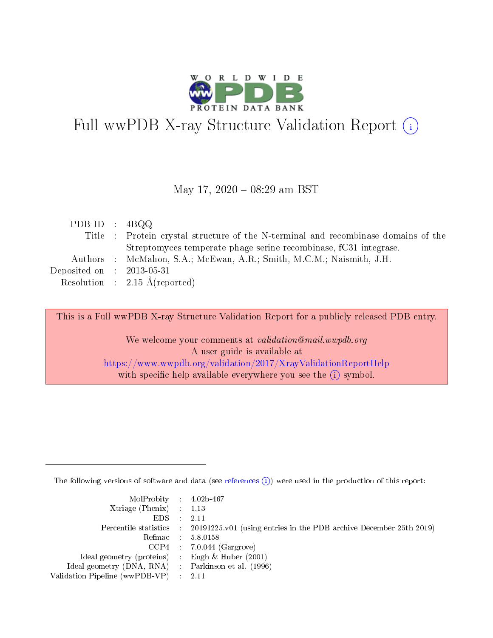

# Full wwPDB X-ray Structure Validation Report (i)

### May 17, 2020 - 08:29 am BST

| PDB ID : $4BQQ$             |                                                                                    |
|-----------------------------|------------------------------------------------------------------------------------|
|                             | Title : Protein crystal structure of the N-terminal and recombinase domains of the |
|                             | Streptomyces temperate phage serine recombinase, fC31 integrase.                   |
|                             | Authors : McMahon, S.A.; McEwan, A.R.; Smith, M.C.M.; Naismith, J.H.               |
| Deposited on : $2013-05-31$ |                                                                                    |
|                             | Resolution : $2.15 \text{ Å}$ (reported)                                           |
|                             |                                                                                    |

This is a Full wwPDB X-ray Structure Validation Report for a publicly released PDB entry.

We welcome your comments at validation@mail.wwpdb.org A user guide is available at <https://www.wwpdb.org/validation/2017/XrayValidationReportHelp> with specific help available everywhere you see the  $(i)$  symbol.

The following versions of software and data (see [references](https://www.wwpdb.org/validation/2017/XrayValidationReportHelp#references)  $(i)$ ) were used in the production of this report:

| $MolProbability$ 4.02b-467                          |                                                                                            |
|-----------------------------------------------------|--------------------------------------------------------------------------------------------|
| Xtriage (Phenix) $: 1.13$                           |                                                                                            |
| $EDS$ :                                             | -2.11                                                                                      |
|                                                     | Percentile statistics : 20191225.v01 (using entries in the PDB archive December 25th 2019) |
|                                                     | Refmac : 5.8.0158                                                                          |
|                                                     | $CCP4$ : 7.0.044 (Gargrove)                                                                |
| Ideal geometry (proteins) : Engh $\&$ Huber (2001)  |                                                                                            |
| Ideal geometry (DNA, RNA) : Parkinson et al. (1996) |                                                                                            |
| Validation Pipeline (wwPDB-VP)                      | -2.11                                                                                      |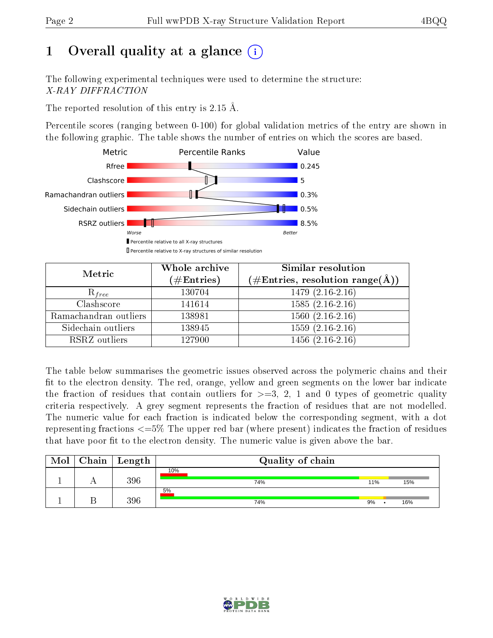# 1 [O](https://www.wwpdb.org/validation/2017/XrayValidationReportHelp#overall_quality)verall quality at a glance  $(i)$

The following experimental techniques were used to determine the structure: X-RAY DIFFRACTION

The reported resolution of this entry is 2.15 Å.

Percentile scores (ranging between 0-100) for global validation metrics of the entry are shown in the following graphic. The table shows the number of entries on which the scores are based.



| Metric                | Whole archive<br>$(\#\mathrm{Entries})$ | Similar resolution<br>$(\#\text{Entries},\, \text{resolution}\; \text{range}(\textup{\AA}))$ |
|-----------------------|-----------------------------------------|----------------------------------------------------------------------------------------------|
| $R_{free}$            | 130704                                  | $1479(2.16-2.16)$                                                                            |
| Clashscore            | 141614                                  | $1585(2.16-2.16)$                                                                            |
| Ramachandran outliers | 138981                                  | $1560(2.16-2.16)$                                                                            |
| Sidechain outliers    | 138945                                  | $1559(2.16-2.16)$                                                                            |
| RSRZ outliers         | 127900                                  | $1456(2.16-2.16)$                                                                            |

The table below summarises the geometric issues observed across the polymeric chains and their fit to the electron density. The red, orange, yellow and green segments on the lower bar indicate the fraction of residues that contain outliers for  $>=3, 2, 1$  and 0 types of geometric quality criteria respectively. A grey segment represents the fraction of residues that are not modelled. The numeric value for each fraction is indicated below the corresponding segment, with a dot representing fractions <=5% The upper red bar (where present) indicates the fraction of residues that have poor fit to the electron density. The numeric value is given above the bar.

| Mol | ${\rm Chain \mid Length}$ | Quality of chain |     |     |
|-----|---------------------------|------------------|-----|-----|
|     | 396                       | 10%<br>74%       | 11% | 15% |
|     | 396                       | 5%<br>74%        | 9%  | 16% |

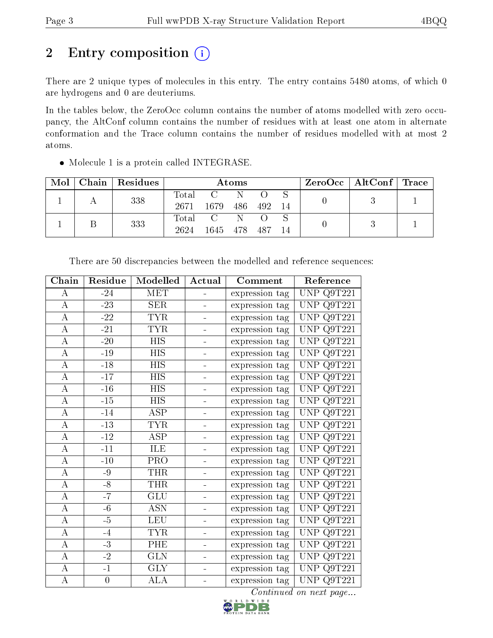# 2 Entry composition (i)

There are 2 unique types of molecules in this entry. The entry contains 5480 atoms, of which 0 are hydrogens and 0 are deuteriums.

In the tables below, the ZeroOcc column contains the number of atoms modelled with zero occupancy, the AltConf column contains the number of residues with at least one atom in alternate conformation and the Trace column contains the number of residues modelled with at most 2 atoms.

| Mol | Chain   Residues | <b>Atoms</b>  |                                                                 |     |       | $\text{ZeroOcc} \mid \text{AltConf} \mid \text{Trace}$ |  |  |
|-----|------------------|---------------|-----------------------------------------------------------------|-----|-------|--------------------------------------------------------|--|--|
|     | 338              | Total<br>2671 | $\mathcal{C}$<br>1679                                           | 486 | 492   | -14                                                    |  |  |
|     | 333              | Total<br>2624 | $\overline{\mathbf{C}}$ and $\overline{\mathbf{C}}$<br>1645 478 | N   | - 487 |                                                        |  |  |

Molecule 1 is a protein called INTEGRASE.

| Chain            | Residue          | Modelled                | Actual                       | Comment        | Reference                      |
|------------------|------------------|-------------------------|------------------------------|----------------|--------------------------------|
| А                | $-24$            | <b>MET</b>              | $\blacksquare$               | expression tag | UNP Q9T221                     |
| $\boldsymbol{A}$ | $-23-$           | <b>SER</b>              |                              | expression tag | UNP<br>Q9T221                  |
| $\bf{A}$         | $-22$            | <b>TYR</b>              |                              | expression tag | $\overline{\text{UNP Q9T221}}$ |
| $\boldsymbol{A}$ | $-21$            | <b>TYR</b>              | $\equiv$                     | expression tag | UNP Q9T221                     |
| $\bf{A}$         | $-20$            | <b>HIS</b>              | $\blacksquare$               | expression tag | UNP $Q9T221$                   |
| $\boldsymbol{A}$ | $-19$            | <b>HIS</b>              | $\blacksquare$               | expression tag | UNP Q9T221                     |
| $\boldsymbol{A}$ | $-18$            | <b>HIS</b>              | $\blacksquare$               | expression tag | UNP Q9T221                     |
| $\boldsymbol{A}$ | $-17$            | <b>HIS</b>              | $\blacksquare$               | expression tag | UNP $Q9T221$                   |
| $\bf{A}$         | $-16$            | <b>HIS</b>              | $\qquad \qquad \blacksquare$ | expression tag | UNP<br>Q9T221                  |
| $\bf{A}$         | $-15$            | $\overline{HIS}$        | $\blacksquare$               | expression tag | UNP Q9T221                     |
| $\bf{A}$         | $-14$            | ASP                     | $\blacksquare$               | expression tag | <b>UNP</b><br>Q9T221           |
| $\boldsymbol{A}$ | $-13$            | <b>TYR</b>              | $\qquad \qquad \blacksquare$ | expression tag | <b>UNP</b><br>Q9T221           |
| $\boldsymbol{A}$ | $-12$            | ASP                     |                              | expression tag | <b>UNP</b><br>Q9T221           |
| $\bf{A}$         | $-11$            | ILE                     | $\blacksquare$               | expression tag | UNP Q9T221                     |
| $\overline{A}$   | $-10$            | $\overline{\text{PRO}}$ | $\blacksquare$               | expression tag | UNP Q9T221                     |
| $\bf{A}$         | $-9$             | THR                     | $\equiv$                     | expression tag | <b>UNP Q9T221</b>              |
| $\overline{A}$   | $-8$             | <b>THR</b>              | $\qquad \qquad \blacksquare$ | expression tag | UNP $Q9T\overline{221}$        |
| $\overline{A}$   | $-7$             | <b>GLU</b>              | $\blacksquare$               | expression tag | UNP Q9T221                     |
| $\boldsymbol{A}$ | $-6$             | <b>ASN</b>              | $\blacksquare$               | expression tag | Q9T221<br>UNP                  |
| $\overline{A}$   | $-5$             | <b>LEU</b>              | $\blacksquare$               | expression tag | UNP<br>Q9T221                  |
| $\bf{A}$         | $-4$             | <b>TYR</b>              | $\blacksquare$               | expression tag | UNP<br>Q9T221                  |
| $\boldsymbol{A}$ | $-3$             | PHE                     | $\blacksquare$               | expression tag | UNP<br>Q9T221                  |
| $\bf{A}$         | $-2$             | <b>GLN</b>              | $\blacksquare$               | expression tag | UNP<br>Q9T221                  |
| $\boldsymbol{A}$ | $-1$             | <b>GLY</b>              | $\blacksquare$               | expression tag | UNP<br>Q9T221                  |
| $\bf{A}$         | $\boldsymbol{0}$ | <b>ALA</b>              |                              | expression tag | UNP Q9T221                     |

There are 50 discrepancies between the modelled and reference sequences:

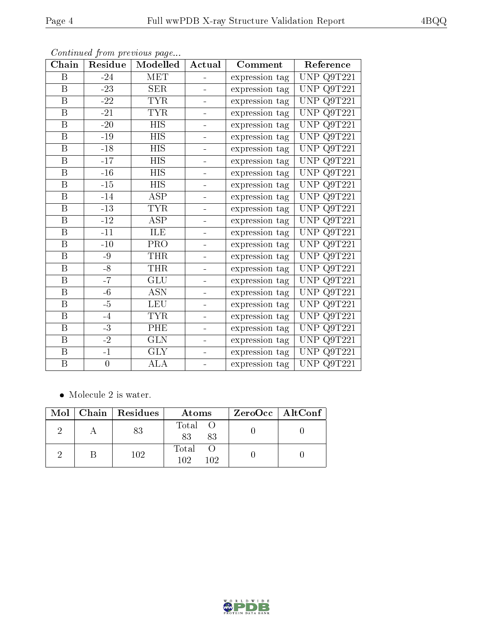| Chain                   | Residue          | Modelled                | Actual         | Comment        | Reference                      |
|-------------------------|------------------|-------------------------|----------------|----------------|--------------------------------|
| $\boldsymbol{B}$        | $-24$            | MET                     | ÷.             | expression tag | UNP Q9T221                     |
| B                       | $-23-$           | SER                     |                | expression tag | Q9T221<br>UNP                  |
| $\, {\bf B}$            | $-22$            | <b>TYR</b>              |                | expression tag | UNP Q9T221                     |
| B                       | $-21$            | <b>TYR</b>              | ÷,             | expression tag | UNP Q9T221                     |
| $\, {\bf B}$            | $-20$            | <b>HIS</b>              | -              | expression tag | UNP Q9T221                     |
| $\mathbf{B}$            | $-19$            | <b>HIS</b>              | $\blacksquare$ | expression tag | UNP Q9T221                     |
| $\, {\bf B}$            | $-18$            | <b>HIS</b>              | ÷              | expression tag | Q9T221<br>UNP                  |
| $\mathbf{B}$            | $-17$            | $\overline{HIS}$        | ÷              | expression tag | UNP Q9T221                     |
| $\boldsymbol{B}$        | $-16$            | <b>HIS</b>              | $\blacksquare$ | expression tag | Q9T221<br><b>UNP</b>           |
| $\overline{\mathrm{B}}$ | $-15$            | $\overline{HIS}$        | -              | expression tag | <b>UNP</b><br>Q9T221           |
| $\, {\bf B}$            | $-14$            | <b>ASP</b>              |                | expression tag | <b>UNP</b><br>Q9T221           |
| $\, {\bf B}$            | $-13$            | <b>TYR</b>              |                | expression tag | UNP Q9T221                     |
| B                       | $-12$            | ASP                     | $\blacksquare$ | expression tag | UNP Q9T221                     |
| $\, {\bf B}$            | $-11$            | ILE                     | $\blacksquare$ | expression tag | <b>UNP Q9T221</b>              |
| $\boldsymbol{B}$        | $-10$            | PRO                     | Ξ.             | expression tag | UNP Q9T221                     |
| $\, {\bf B}$            | $-9$             | <b>THR</b>              | $\blacksquare$ | expression tag | UNP Q9T221                     |
| $\, {\bf B}$            | $-8$             | <b>THR</b>              | ÷              | expression tag | $\overline{\text{UNP}}$ Q9T221 |
| $\, {\bf B}$            | $-7$             | <b>GLU</b>              | $\blacksquare$ | expression tag | <b>UNP</b><br>Q9T221           |
| $\mathbf B$             | $-6$             | <b>ASN</b>              | $\blacksquare$ | expression tag | Q9T221<br><b>UNP</b>           |
| B                       | $-5$             | <b>LEU</b>              |                | expression tag | Q9T221<br><b>UNP</b>           |
| $\, {\bf B}$            | $-4$             | <b>TYR</b>              | -              | expression tag | UNP Q9T221                     |
| $\boldsymbol{B}$        | $-3$             | PHE                     | ÷              | expression tag | UNP $Q9T221$                   |
| B                       | $-2$             | <b>GLN</b>              | $\blacksquare$ | expression tag | <b>UNP Q9T221</b>              |
| $\overline{B}$          | $-1$             | $\overline{\text{GLY}}$ | ÷              | expression tag | UNP Q9T221                     |
| $\, {\bf B}$            | $\boldsymbol{0}$ | $\overline{\text{ALA}}$ | ÷              | expression tag | UNP Q9T221                     |

Continued from previous page...

 $\bullet\,$  Molecule 2 is water.

|  | Mol   Chain   Residues | Atoms               | $ZeroOcc \mid AltConf \mid$ |
|--|------------------------|---------------------|-----------------------------|
|  | 83                     | Total O<br>83<br>83 |                             |
|  | 102                    | Total<br>102<br>102 |                             |

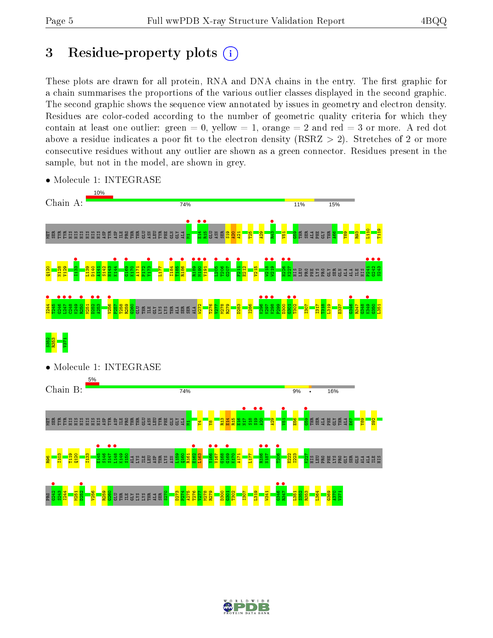# 3 Residue-property plots  $(i)$

These plots are drawn for all protein, RNA and DNA chains in the entry. The first graphic for a chain summarises the proportions of the various outlier classes displayed in the second graphic. The second graphic shows the sequence view annotated by issues in geometry and electron density. Residues are color-coded according to the number of geometric quality criteria for which they contain at least one outlier: green  $= 0$ , yellow  $= 1$ , orange  $= 2$  and red  $= 3$  or more. A red dot above a residue indicates a poor fit to the electron density (RSRZ  $> 2$ ). Stretches of 2 or more consecutive residues without any outlier are shown as a green connector. Residues present in the sample, but not in the model, are shown in grey.



• Molecule 1: INTEGRASE

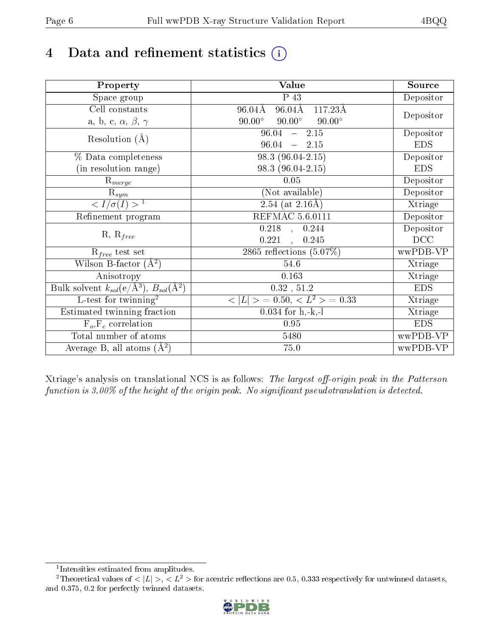# 4 Data and refinement statistics  $(i)$

| Property                                                   | Value                                                        | Source     |
|------------------------------------------------------------|--------------------------------------------------------------|------------|
| Space group                                                | P 43                                                         | Depositor  |
| Cell constants                                             | $96.04\text{\AA}$<br>$117.23\text{\AA}$<br>$96.04\text{\AA}$ |            |
| a, b, c, $\alpha$ , $\beta$ , $\gamma$                     | $90.00^\circ$<br>$90.00^\circ$<br>$90.00^\circ$              | Depositor  |
| Resolution $(A)$                                           | 2.15<br>96.04<br>$\frac{1}{2}$                               | Depositor  |
|                                                            | 96.04<br>$\frac{1}{2}$<br>2.15                               | <b>EDS</b> |
| % Data completeness                                        | 98.3 (96.04-2.15)                                            | Depositor  |
| (in resolution range)                                      | 98.3 (96.04-2.15)                                            | <b>EDS</b> |
| $R_{merge}$                                                | 0.05                                                         | Depositor  |
| $\mathrm{R}_{sym}$                                         | (Not available)                                              | Depositor  |
| $\langle I/\sigma(I) \rangle^{-1}$                         | $2.54$ (at 2.16Å)                                            | Xtriage    |
| Refinement program                                         | REFMAC 5.6.0111                                              | Depositor  |
|                                                            | $0.218$ , $0.244$                                            | Depositor  |
| $R, R_{free}$                                              | 0.221<br>0.245<br>$\ddot{\phantom{a}}$                       | DCC        |
| $R_{free}$ test set                                        | 2865 reflections $(5.07\%)$                                  | wwPDB-VP   |
| Wilson B-factor $(A^2)$                                    | 54.6                                                         | Xtriage    |
| Anisotropy                                                 | $0.163\,$                                                    | Xtriage    |
| Bulk solvent $k_{sol}$ (e/Å <sup>3</sup> ), $B_{sol}(A^2)$ | 0.32, 51.2                                                   | <b>EDS</b> |
| $\overline{L-test for}$ twinning <sup>2</sup>              | $< L >$ = 0.50, $< L2$ = 0.33                                | Xtriage    |
| Estimated twinning fraction                                | $0.034$ for h,-k,-l                                          | Xtriage    |
| $F_o, F_c$ correlation                                     | 0.95                                                         | <b>EDS</b> |
| Total number of atoms                                      | 5480                                                         | wwPDB-VP   |
| Average B, all atoms $(A^2)$                               | 75.0                                                         | wwPDB-VP   |

Xtriage's analysis on translational NCS is as follows: The largest off-origin peak in the Patterson function is  $3.00\%$  of the height of the origin peak. No significant pseudotranslation is detected.

<sup>&</sup>lt;sup>2</sup>Theoretical values of  $\langle |L| \rangle$ ,  $\langle L^2 \rangle$  for acentric reflections are 0.5, 0.333 respectively for untwinned datasets, and 0.375, 0.2 for perfectly twinned datasets.



<span id="page-5-1"></span><span id="page-5-0"></span><sup>1</sup> Intensities estimated from amplitudes.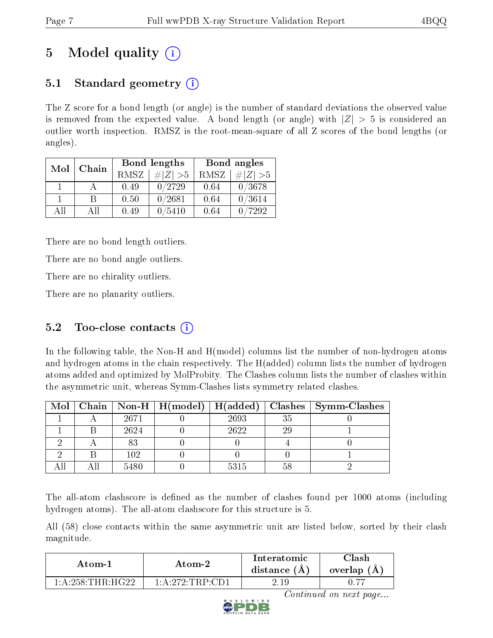# 5 Model quality  $(i)$

# 5.1 Standard geometry  $\overline{()}$

The Z score for a bond length (or angle) is the number of standard deviations the observed value is removed from the expected value. A bond length (or angle) with  $|Z| > 5$  is considered an outlier worth inspection. RMSZ is the root-mean-square of all Z scores of the bond lengths (or angles).

| Mol | Chain |      | Bond lengths | Bond angles |             |  |
|-----|-------|------|--------------|-------------|-------------|--|
|     |       | RMSZ | # Z  > 5     | RMSZ        | $\# Z  > 5$ |  |
|     |       | 0.49 | 0/2729       | 0.64        | 0/3678      |  |
|     | В     | 0.50 | 0/2681       | 0.64        | 0/3614      |  |
| AH  | All   | 0.49 | /5410        | 0.64        | 7292        |  |

There are no bond length outliers.

There are no bond angle outliers.

There are no chirality outliers.

There are no planarity outliers.

## $5.2$  Too-close contacts  $(i)$

In the following table, the Non-H and H(model) columns list the number of non-hydrogen atoms and hydrogen atoms in the chain respectively. The H(added) column lists the number of hydrogen atoms added and optimized by MolProbity. The Clashes column lists the number of clashes within the asymmetric unit, whereas Symm-Clashes lists symmetry related clashes.

|  |      |      |     | Mol   Chain   Non-H   H(model)   H(added)   Clashes   Symm-Clashes |
|--|------|------|-----|--------------------------------------------------------------------|
|  | 2671 | 2693 | 35  |                                                                    |
|  | 2624 | 2622 | -29 |                                                                    |
|  | 83   |      |     |                                                                    |
|  | 102  |      |     |                                                                    |
|  | 5480 | 5315 |     |                                                                    |

The all-atom clashscore is defined as the number of clashes found per 1000 atoms (including hydrogen atoms). The all-atom clashscore for this structure is 5.

All (58) close contacts within the same asymmetric unit are listed below, sorted by their clash magnitude.

| Atom-1                                     | Atom-2                                    | Interatomic<br>distance $(A)$ | $\cap$ lash<br>overlap (A) |
|--------------------------------------------|-------------------------------------------|-------------------------------|----------------------------|
| $1 \cdot A \cdot 258 \cdot THR \cdot HG22$ | $1 \cdot A \cdot 272 \cdot TRP \cdot CD1$ | 2.19                          |                            |

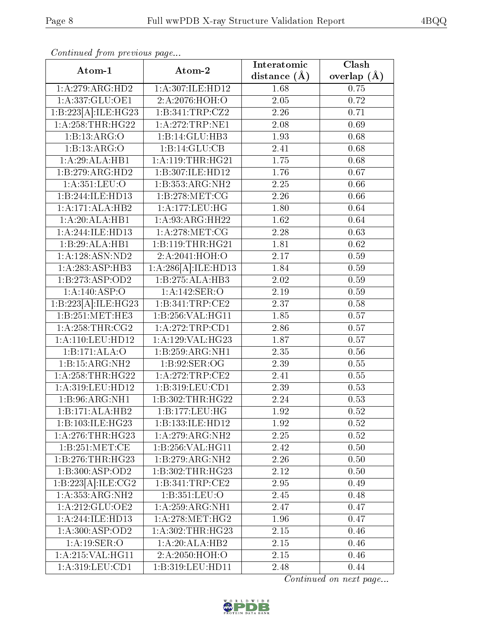| Atom-1                               | Atom-2                          | Interatomic       | Clash         |
|--------------------------------------|---------------------------------|-------------------|---------------|
|                                      |                                 | distance $(\AA)$  | overlap $(A)$ |
| 1:A:279:ARG:HD2                      | 1:A:307:ILE:HD12                | 1.68              | 0.75          |
| 1:A:337:GLU:OE1                      | 2:A:2076:HOH:O                  | $2.05\,$          | 0.72          |
| 1:B:223[A]:ILE:HG23                  | 1:B:341:TRP:CZ2                 | 2.26              | 0.71          |
| 1: A:258:THR:HG22                    | 1:A:272:TRP:NE1                 | 2.08              | 0.69          |
| 1:B:13:ARG:O                         | 1:B:14:GLU:HB3                  | 1.93              | 0.68          |
| 1:B:13:ARG:O                         | 1:B:14:GLU:CB                   | 2.41              | 0.68          |
| 1:A:29:ALA:HB1                       | $1: A:119:THR: \overline{HG21}$ | $\overline{1.75}$ | 0.68          |
| 1:B:279:ARG:HD2                      | 1:B:307:ILE:HD12                | 1.76              | 0.67          |
| 1: A: 351: LEU: O                    | 1:B:353:ARG:NH2                 | 2.25              | 0.66          |
| 1:B:244:ILE:HD13                     | 1: B: 278: MET: CG              | 2.26              | 0.66          |
| 1:A:171:ALA:HB2                      | 1:A:177:LEU:HG                  | 1.80              | 0.64          |
| 1:A:20:ALA:HB1                       | 1:A:93:ARG:HH22                 | 1.62              | 0.64          |
| 1:A:244:ILE:HD13                     | 1: A:278:MET:CG                 | 2.28              | 0.63          |
| 1:B:29:ALA:HB1                       | 1:B:119:THR:HG21                | 1.81              | 0.62          |
| 1:A:128:ASN:ND2                      | 2:A:2041:HOH:O                  | 2.17              | 0.59          |
| 1:A:283:ASP:HB3                      | 1:A:286[A]:ILE:HD13             | 1.84              | 0.59          |
| 1:B:273:ASP:OD2                      | 1:B:275:ALA:HB3                 | 2.02              | 0.59          |
| 1:A:140:ASP:O                        | 1:A:142:SER:O                   | 2.19              | 0.59          |
| $1:B:223[\overline{A}]:ILE:HG23$     | 1:B:341:TRP:CE2                 | 2.37              | $0.58\,$      |
| 1:B:251:MET:HE3                      | 1:B:256:VAL:HG11                | 1.85              | 0.57          |
| 1: A:258:THR:CG2                     | 1:A:272:TRP:CD1                 | 2.86              | 0.57          |
| 1: A: 110: LEU: HD12                 | 1:A:129:VAL:HG23                | 1.87              | 0.57          |
| 1:B:171:ALA:O                        | 1:B:259:ARG:NH1                 | 2.35              | 0.56          |
| 1:B:15:ARG:NH2                       | 1: B:92: SER:OG                 | 2.39              | 0.55          |
| 1: A:258:THR:HG22                    | 1: A:272:TRP:CE2                | 2.41              | 0.55          |
| 1:A:319:LEU:HD12                     | 1:B:319:LEU:CD1                 | $\overline{2.39}$ | 0.53          |
| 1:B:96:ARG:NH1                       | 1:B:302:THR:HG22                | 2.24              | 0.53          |
| 1:B:171:ALA:HB2                      | 1:B:177:LEU:HG                  | 1.92              | 0.52          |
| 1:B:103:ILE:HG23                     | 1:B:133:ILE:HD12                | 1.92              | 0.52          |
| 1: A:276:THR:HG23                    | 1:A:279:ARG:NH2                 | 2.25              | 0.52          |
| $1: B:251:MET: \overline{\text{CE}}$ | 1:B:256:VAL:HG11                | 2.42              | 0.50          |
| 1:B:276:THR:HG23                     | 1:B:279:ARG:NH2                 | 2.26              | 0.50          |
| 1:B:300:ASP:OD2                      | 1:B:302:THR:HG23                | 2.12              | 0.50          |
| 1:B:223[A]:ILE:CG2                   | 1:B:341:TRP:CE2                 | 2.95              | 0.49          |
| 1:A:353:ARG:NH2                      | 1:B:351:LEU:O                   | 2.45              | 0.48          |
| 1:A:212:GLU:OE2                      | 1: A:259: ARG: NH1              | 2.47              | 0.47          |
| 1:A:244:ILE:HD13                     | 1: A:278:MET:HG2                | 1.96              | 0.47          |
| 1: A:300:ASP:OD2                     | 1:A:302:THR:HG23                | 2.15              | 0.46          |
| 1:A:19:SER:O                         | 1:A:20:ALA:HB2                  | 2.15              | 0.46          |
| 1: A:215: VAL:HGI1                   | 2: A:2050:HOH:O                 | 2.15              | 0.46          |
| 1:A:319:LEU:CD1                      | 1:B:319:LEU:HD11                | 2.48              | 0.44          |

Continued from previous page...

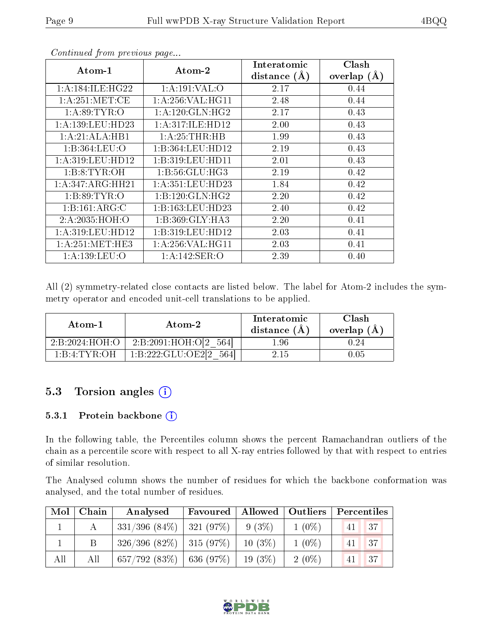| Atom-1              | Atom-2             | Interatomic<br>(A)<br>distance | Clash<br>overlap ( |
|---------------------|--------------------|--------------------------------|--------------------|
| 1: A:184: ILE: HG22 | 1:A:191:VAL:O      | 2.17                           | 0.44               |
| 1: A:251: MET:CE    | 1: A:256: VAL:HGI1 | 2.48                           | 0.44               |
| 1: A:89: TYR:O      | 1: A:120: GLN: HG2 | 2.17                           | 0.43               |
| 1:A:139:LEU:HD23    | 1:A:317:ILE:HD12   | 2.00                           | 0.43               |
| 1:A:21:ALA:HB1      | 1: A:25:THR:HB     | 1.99                           | 0.43               |
| 1: B: 364: LEU: O   | 1:B:364:LEU:HD12   | 2.19                           | 0.43               |
| 1:A:319:LEU:HD12    | 1:B:319:LEU:HD11   | 2.01                           | 0.43               |

Continued from previous page...

|  |  | All (2) symmetry-related close contacts are listed below. The label for Atom-2 includes the sym- |  |  |  |  |  |
|--|--|--------------------------------------------------------------------------------------------------|--|--|--|--|--|
|  |  | metry operator and encoded unit-cell translations to be applied.                                 |  |  |  |  |  |

| Atom-1         | Atom-2             | Interatomic<br>distance (A) | Clash<br>overlap (A |
|----------------|--------------------|-----------------------------|---------------------|
| 2:B:2024:HOH:O | 2:B:2091:HOH:O[2]  | .96                         |                     |
| 1:B:4:TYR:OH_  | 1:B:222:GLU:OE2[2] | 2.15                        | 1.05                |

1:B:8:TYR:OH 1:B:56:GLU:HG3 2.19 0.42 1:A:347:ARG:HH21 | 1:A:351:LEU:HD23 | 1.84 0.42 1:B:89:TYR:O 1:B:120:GLN:HG2 2.20 1 0.42 1:B:161:ARG:C | 1:B:163:LEU:HD23 | 2.40 | 0.42 2:A:2035:HOH:O 1:B:369:GLY:HA3 2.20 0.41 1:A:319:LEU:HD12 | 1:B:319:LEU:HD12 | 2.03 | 0.41 1:A:251:MET:HE3 1:A:256:VAL:HG11 2.03 0.41 1:A:139:LEU:O | 1:A:142:SER:O | 2.39 0.40

### 5.3 Torsion angles (i)

#### 5.3.1 Protein backbone (i)

In the following table, the Percentiles column shows the percent Ramachandran outliers of the chain as a percentile score with respect to all X-ray entries followed by that with respect to entries of similar resolution.

The Analysed column shows the number of residues for which the backbone conformation was analysed, and the total number of residues.

| $\blacksquare$ Mol $\blacksquare$ | Chain | Analysed                      | Favoured |           | Allowed   Outliers   Percentiles |    |    |
|-----------------------------------|-------|-------------------------------|----------|-----------|----------------------------------|----|----|
|                                   |       | $331/396$ (84\%)   321 (97\%) |          | $9(3\%)$  | $1(0\%)$                         | 41 | 37 |
|                                   |       | $326/396$ (82\%)   315 (97\%) |          | $10(3\%)$ | $1(0\%)$                         | 41 | 37 |
| All                               | All   | 657/792 (83\%)   636 (97\%)   |          | $19(3\%)$ | $2(0\%)$                         | 41 | 37 |

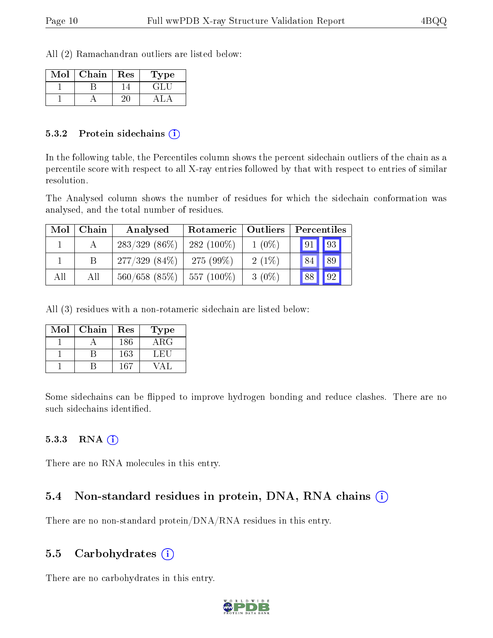All (2) Ramachandran outliers are listed below:

| Mol | Chain | Res | Type |
|-----|-------|-----|------|
|     |       |     |      |
|     |       |     |      |

#### 5.3.2 Protein sidechains  $\hat{I}$

In the following table, the Percentiles column shows the percent sidechain outliers of the chain as a percentile score with respect to all X-ray entries followed by that with respect to entries of similar resolution.

The Analysed column shows the number of residues for which the sidechain conformation was analysed, and the total number of residues.

| Mol | Chain | Analysed           | Rotameric    | Outliers | Percentiles |    |
|-----|-------|--------------------|--------------|----------|-------------|----|
|     |       | $283/329$ $(86\%)$ | $282(100\%)$ | $1(0\%)$ | 91          | 93 |
|     |       | $277/329(84\%)$    | 275 $(99\%)$ | $2(1\%)$ | 84          | 89 |
| All | All   | $560/658$ (85%)    | 557 (100\%)  | $3(0\%)$ | 88          | 92 |

All (3) residues with a non-rotameric sidechain are listed below:

| $\operatorname{Mol}$ | Chain | Res | Type       |
|----------------------|-------|-----|------------|
|                      |       | 186 | $\rm{ARG}$ |
|                      |       | 163 | LET        |
|                      |       | 167 |            |

Some sidechains can be flipped to improve hydrogen bonding and reduce clashes. There are no such sidechains identified.

#### $5.3.3$  RNA  $(i)$

There are no RNA molecules in this entry.

### 5.4 Non-standard residues in protein, DNA, RNA chains (i)

There are no non-standard protein/DNA/RNA residues in this entry.

### 5.5 Carbohydrates (i)

There are no carbohydrates in this entry.

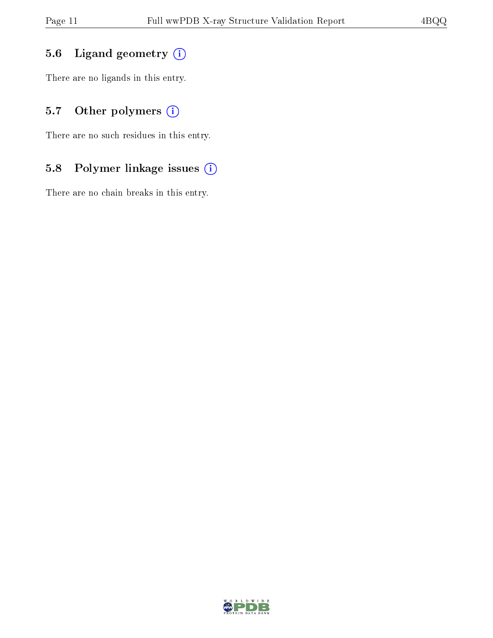### 5.6 Ligand geometry (i)

There are no ligands in this entry.

### 5.7 [O](https://www.wwpdb.org/validation/2017/XrayValidationReportHelp#nonstandard_residues_and_ligands)ther polymers (i)

There are no such residues in this entry.

### 5.8 Polymer linkage issues (i)

There are no chain breaks in this entry.

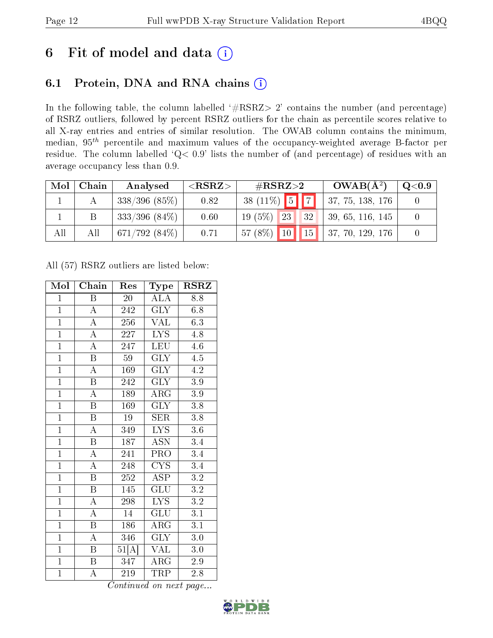# 6 Fit of model and data  $(i)$

# 6.1 Protein, DNA and RNA chains  $(i)$

In the following table, the column labelled  $#RSRZ> 2'$  contains the number (and percentage) of RSRZ outliers, followed by percent RSRZ outliers for the chain as percentile scores relative to all X-ray entries and entries of similar resolution. The OWAB column contains the minimum, median,  $95<sup>th</sup>$  percentile and maximum values of the occupancy-weighted average B-factor per residue. The column labelled ' $Q< 0.9$ ' lists the number of (and percentage) of residues with an average occupancy less than 0.9.

| Mol | Chain | Analysed         | $<$ RSRZ $>$ | # $RSRZ>2$                         | $OWAB(A^2)$       | $\mathrm{Q}{<}0.9$ |
|-----|-------|------------------|--------------|------------------------------------|-------------------|--------------------|
|     |       | $338/396$ (85\%) | 0.82         | $38(11\%)$ 5 7                     | 37, 75, 138, 176  |                    |
|     |       | $333/396$ (84\%) | 0.60         | $19(5\%)$<br>23<br>32              | 39, 65, 116, 145  |                    |
| All | All   | 671/792(84%)     | 0.71         | $57(8\%)$ 10<br>$\vert$ 15 $\vert$ | 137, 70, 129, 176 |                    |

All (57) RSRZ outliers are listed below:

| Mol            | Chain                   | Res              | Type                      | <b>RSRZ</b>      |
|----------------|-------------------------|------------------|---------------------------|------------------|
| $\mathbf{1}$   | B                       | 20               | ALA                       | 8.8              |
| $\overline{1}$ | $\overline{A}$          | 242              | GLY                       | 6.8              |
| $\overline{1}$ | $\overline{A}$          | 256              | <b>VAL</b>                | 6.3              |
| $\overline{1}$ | $\overline{\rm A}$      | 227              | <b>LYS</b>                | 4.8              |
| $\overline{1}$ | $\overline{\rm A}$      | 247              | LEU                       | 4.6              |
| $\mathbf{1}$   | B                       | 59               | GLY                       | 4.5              |
| $\overline{1}$ | $\overline{\rm A}$      | 169              | $\overline{\text{GLY}}$   | 4.2              |
| $\overline{1}$ | $\boldsymbol{B}$        | 242              | $\overline{\text{GLY}}$   | $\overline{3.9}$ |
| $\overline{1}$ | $\overline{\rm A}$      | 189              | ARG                       | 3.9              |
| $\overline{1}$ | $\overline{\mathrm{B}}$ | 169              | $\overline{\text{GLY}}$   | $\overline{3.8}$ |
| $\overline{1}$ | $\boldsymbol{B}$        | 19               | <b>SER</b>                | 3.8              |
| $\overline{1}$ | $\overline{\rm A}$      | $\overline{349}$ | $\overline{\text{LYS}}$   | 3.6              |
| $\overline{1}$ | $\overline{\mathrm{B}}$ | 187              | $\overline{\mathrm{ASN}}$ | 3.4              |
| $\overline{1}$ | $\overline{\rm A}$      | 241              | PRO                       | 3.4              |
| $\overline{1}$ | $\overline{\rm A}$      | 248              | $\overline{\text{CYS}}$   | 3.4              |
| $\overline{1}$ | $\, {\bf B}$            | 252              | <b>ASP</b>                | $3.2\,$          |
| $\overline{1}$ | $\overline{\mathrm{B}}$ | 145              | $\overline{\mathrm{GLU}}$ | $\overline{3.2}$ |
| $\overline{1}$ | $\boldsymbol{A}$        | 298              | <b>LYS</b>                | $3.2\,$          |
| $\overline{1}$ | $\overline{\rm A}$      | 14               | GLU                       | $\overline{3.1}$ |
| $\overline{1}$ | B                       | 186              | $\rm{ARG}$                | 3.1              |
| $\overline{1}$ | $\overline{\rm A}$      | 346              | $\overline{\text{GLY}}$   | 3.0              |
| $\overline{1}$ | B                       | 51[A]            | VAL                       | 3.0              |
| $\overline{1}$ | $\, {\bf B}$            | 347              | $\rm{ARG}$                | 2.9              |
| $\mathbf{1}$   | А                       | 219              | <b>TRP</b>                | 2.8              |

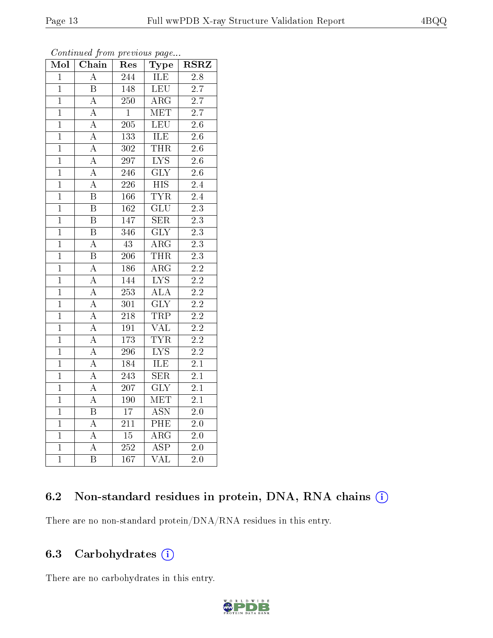| 7              |  |
|----------------|--|
| $\overline{7}$ |  |
| $\overline{6}$ |  |
| $\overline{6}$ |  |
| $\overline{6}$ |  |
| $\overline{6}$ |  |
| $\overline{6}$ |  |
| $\overline{4}$ |  |
| $\overline{4}$ |  |
| $\overline{3}$ |  |
| $\overline{3}$ |  |
|                |  |

| Continued from previous page |  |  |
|------------------------------|--|--|

Mol | Chain | Res | Type | RSRZ 1 | A | 244 | ILE | 2.8 B 148 LEU 2.7

| $\mathbf{1}$   | А                       | 250              | $\rm{ARG}$                | $2.7\,$          |
|----------------|-------------------------|------------------|---------------------------|------------------|
| $\overline{1}$ | $\overline{\rm A}$      | $\mathbf{1}$     | <b>MET</b>                | $2.\overline{7}$ |
| $\overline{1}$ | $\overline{A}$          | $\overline{205}$ | LEU                       | $\overline{2.6}$ |
| $\mathbf{1}$   | $\overline{A}$          | 133              | ILE                       | $2.6\,$          |
| $\overline{1}$ | $\overline{\rm A}$      | 302              | <b>THR</b>                | $\overline{2.6}$ |
| $\overline{1}$ | $\overline{A}$          | 297              | $\overline{\text{LYS}}$   | $2.6\,$          |
| $\mathbf{1}$   | $\overline{A}$          | 246              | $\overline{\text{GLY}}$   | $2.\overline{6}$ |
| $\overline{1}$ | $\overline{A}$          | 226              | $\overline{HIS}$          | $\overline{2.4}$ |
| $\overline{1}$ | $\overline{\mathrm{B}}$ | 166              | <b>TYR</b>                | 2.4              |
| $\overline{1}$ | $\overline{\mathrm{B}}$ | $\overline{162}$ | $\overline{{\rm GLU}}$    | $\overline{2.3}$ |
| $\overline{1}$ | $\overline{\mathbf{B}}$ | 147              | <b>SER</b>                | $\overline{2.3}$ |
| $\overline{1}$ | $\overline{\mathrm{B}}$ | 346              | $\overline{\text{GLY}}$   | $\overline{2.3}$ |
| $\overline{1}$ | $\overline{A}$          | $\overline{43}$  | $\overline{\rm ARG}$      | $\overline{2.3}$ |
| $\mathbf{1}$   | $\overline{\mathrm{B}}$ | 206              | <b>THR</b>                | $\overline{2.3}$ |
| $\overline{1}$ | $\overline{A}$          | 186              | $\overline{\rm{ARG}}$     | $\overline{2.2}$ |
| $\overline{1}$ | $\overline{\rm A}$      | 144              | $\overline{\text{LYS}}$   | $\overline{2.2}$ |
| $\overline{1}$ | $\overline{A}$          | 253              | $\overline{\rm ALA}$      | $\overline{2.2}$ |
| $\overline{1}$ | $\overline{A}$          | 301              | $\overline{\text{GLY}}$   | $\overline{2.2}$ |
| $\overline{1}$ | $\overline{A}$          | 218              | <b>TRP</b>                | $\overline{2.2}$ |
| $\overline{1}$ | $\overline{A}$          | $\overline{191}$ | $\overline{\text{VAL}}$   | $\overline{2.2}$ |
| $\overline{1}$ | $\overline{A}$          | 173              | <b>TYR</b>                | $\overline{2.2}$ |
| $\overline{1}$ | $\overline{A}$          | 296              | $\overline{\text{LYS}}$   | $\overline{2.2}$ |
| $\overline{1}$ | $\overline{A}$          | 184              | ILE                       | $\overline{2.1}$ |
| $\overline{1}$ | $\overline{A}$          | $\overline{243}$ | $\overline{\text{SER}}$   | $\overline{2.1}$ |
| $\overline{1}$ | $\overline{A}$          | $\overline{207}$ | $\overline{\text{GLY}}$   | $\overline{2.1}$ |
| $\mathbf{1}$   | $\overline{A}$          | 190              | $\overline{\text{MET}}$   | 2.1              |
| $\overline{1}$ | $\overline{\mathrm{B}}$ | $\overline{17}$  | $\overline{\mathrm{ASN}}$ | $\overline{2.0}$ |
| $\mathbf{1}$   | $\boldsymbol{A}$        | 211              | PHE                       | $2.0\,$          |
| $\mathbf{1}$   | $\boldsymbol{A}$        | $\overline{15}$  | $\overline{\rm{ARG}}$     | $2.0\,$          |
| $\overline{1}$ | $\overline{A}$          | $\overline{252}$ | $\overline{\text{ASP}}$   | $\overline{2.0}$ |
| $\overline{1}$ | $\overline{\mathrm{B}}$ | $\overline{1}67$ | $\overline{\text{VAL}}$   | $2.0\,$          |

### 6.2 Non-standard residues in protein, DNA, RNA chains (i)

There are no non-standard protein/DNA/RNA residues in this entry.

### 6.3 Carbohydrates  $(i)$

There are no carbohydrates in this entry.